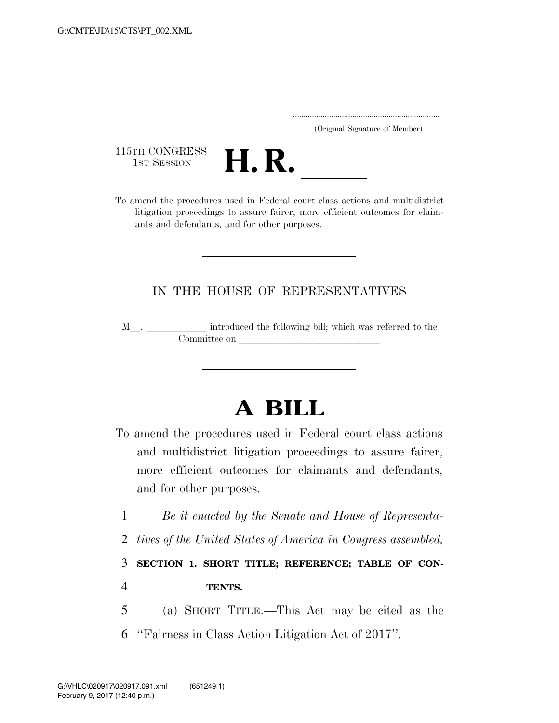|  | (Original Signature of Member) |  |
|--|--------------------------------|--|

115TH CONGRESS<br>1st Session



115TH CONGRESS<br>1st SESSION<br>To amend the procedures used in Federal court class actions and multidistrict litigation proceedings to assure fairer, more efficient outcomes for claimants and defendants, and for other purposes.

# IN THE HOUSE OF REPRESENTATIVES

<sup>M</sup>l. llllll introduced the following bill; which was referred to the Committee on

# **A BILL**

- To amend the procedures used in Federal court class actions and multidistrict litigation proceedings to assure fairer, more efficient outcomes for claimants and defendants, and for other purposes.
	- 1 *Be it enacted by the Senate and House of Representa-*
	- 2 *tives of the United States of America in Congress assembled,*

3 **SECTION 1. SHORT TITLE; REFERENCE; TABLE OF CON-**4 **TENTS.** 

- 5 (a) SHORT TITLE.—This Act may be cited as the
- 6 ''Fairness in Class Action Litigation Act of 2017''.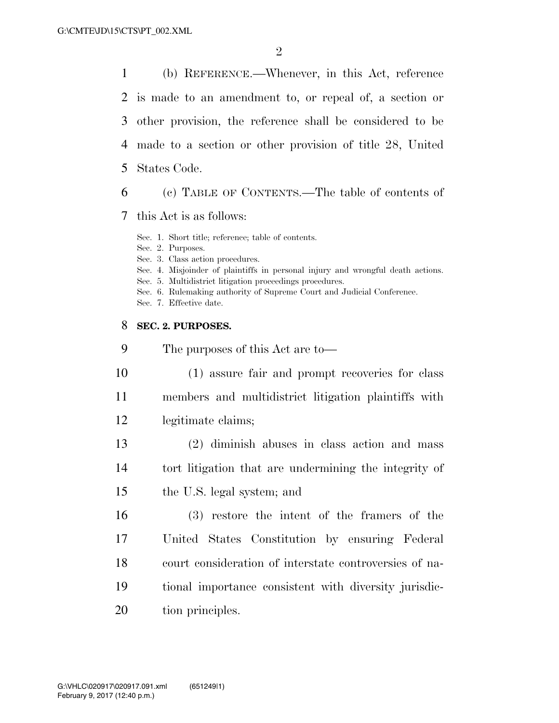(b) REFERENCE.—Whenever, in this Act, reference is made to an amendment to, or repeal of, a section or other provision, the reference shall be considered to be made to a section or other provision of title 28, United States Code.

(c) TABLE OF CONTENTS.—The table of contents of

this Act is as follows:

Sec. 1. Short title; reference; table of contents.

Sec. 2. Purposes.

Sec. 3. Class action procedures.

Sec. 4. Misjoinder of plaintiffs in personal injury and wrongful death actions.

Sec. 5. Multidistrict litigation proceedings procedures.

Sec. 6. Rulemaking authority of Supreme Court and Judicial Conference.

Sec. 7. Effective date.

#### **SEC. 2. PURPOSES.**

 The purposes of this Act are to— (1) assure fair and prompt recoveries for class members and multidistrict litigation plaintiffs with legitimate claims; (2) diminish abuses in class action and mass tort litigation that are undermining the integrity of the U.S. legal system; and (3) restore the intent of the framers of the United States Constitution by ensuring Federal court consideration of interstate controversies of na- tional importance consistent with diversity jurisdic-20 tion principles.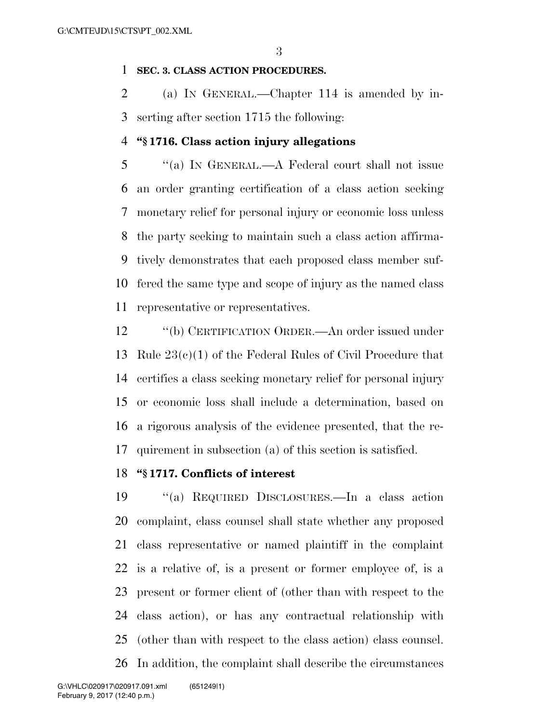#### **SEC. 3. CLASS ACTION PROCEDURES.**

 (a) IN GENERAL.—Chapter 114 is amended by in-serting after section 1715 the following:

#### **''§ 1716. Class action injury allegations**

 ''(a) IN GENERAL.—A Federal court shall not issue an order granting certification of a class action seeking monetary relief for personal injury or economic loss unless the party seeking to maintain such a class action affirma- tively demonstrates that each proposed class member suf- fered the same type and scope of injury as the named class representative or representatives.

 ''(b) CERTIFICATION ORDER.—An order issued under Rule 23(c)(1) of the Federal Rules of Civil Procedure that certifies a class seeking monetary relief for personal injury or economic loss shall include a determination, based on a rigorous analysis of the evidence presented, that the re-quirement in subsection (a) of this section is satisfied.

### **''§ 1717. Conflicts of interest**

 ''(a) REQUIRED DISCLOSURES.—In a class action complaint, class counsel shall state whether any proposed class representative or named plaintiff in the complaint is a relative of, is a present or former employee of, is a present or former client of (other than with respect to the class action), or has any contractual relationship with (other than with respect to the class action) class counsel. In addition, the complaint shall describe the circumstances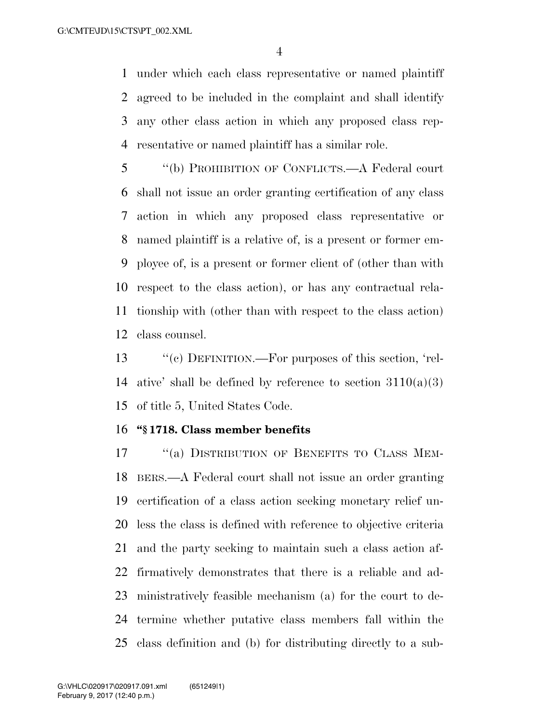under which each class representative or named plaintiff agreed to be included in the complaint and shall identify any other class action in which any proposed class rep-resentative or named plaintiff has a similar role.

 ''(b) PROHIBITION OF CONFLICTS.—A Federal court shall not issue an order granting certification of any class action in which any proposed class representative or named plaintiff is a relative of, is a present or former em- ployee of, is a present or former client of (other than with respect to the class action), or has any contractual rela- tionship with (other than with respect to the class action) class counsel.

 ''(c) DEFINITION.—For purposes of this section, 'rel-14 ative' shall be defined by reference to section  $3110(a)(3)$ of title 5, United States Code.

#### **''§ 1718. Class member benefits**

17 "(a) DISTRIBUTION OF BENEFITS TO CLASS MEM- BERS.—A Federal court shall not issue an order granting certification of a class action seeking monetary relief un- less the class is defined with reference to objective criteria and the party seeking to maintain such a class action af- firmatively demonstrates that there is a reliable and ad- ministratively feasible mechanism (a) for the court to de- termine whether putative class members fall within the class definition and (b) for distributing directly to a sub-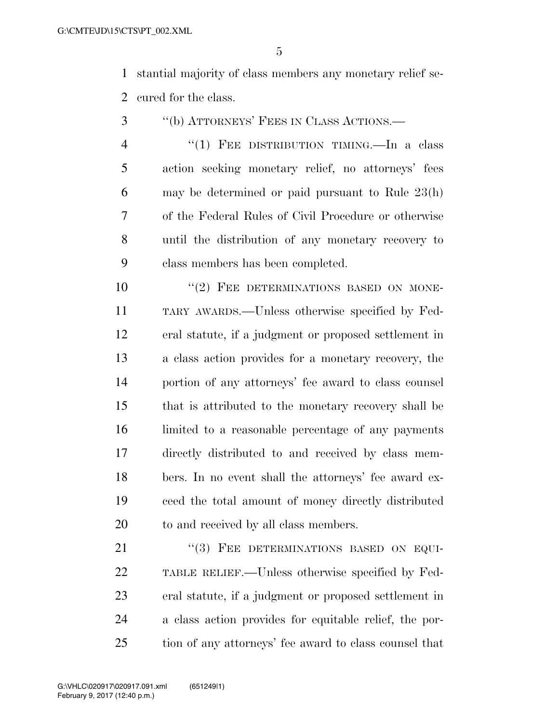stantial majority of class members any monetary relief se-cured for the class.

- ''(b) ATTORNEYS' FEES IN CLASS ACTIONS.—
- 4 "(1) FEE DISTRIBUTION TIMING.—In a class action seeking monetary relief, no attorneys' fees may be determined or paid pursuant to Rule 23(h) of the Federal Rules of Civil Procedure or otherwise until the distribution of any monetary recovery to class members has been completed.

 $(2)$  FEE DETERMINATIONS BASED ON MONE- TARY AWARDS.—Unless otherwise specified by Fed- eral statute, if a judgment or proposed settlement in a class action provides for a monetary recovery, the portion of any attorneys' fee award to class counsel that is attributed to the monetary recovery shall be limited to a reasonable percentage of any payments directly distributed to and received by class mem- bers. In no event shall the attorneys' fee award ex- ceed the total amount of money directly distributed to and received by all class members.

21 "(3) FEE DETERMINATIONS BASED ON EQUI- TABLE RELIEF.—Unless otherwise specified by Fed- eral statute, if a judgment or proposed settlement in a class action provides for equitable relief, the por-tion of any attorneys' fee award to class counsel that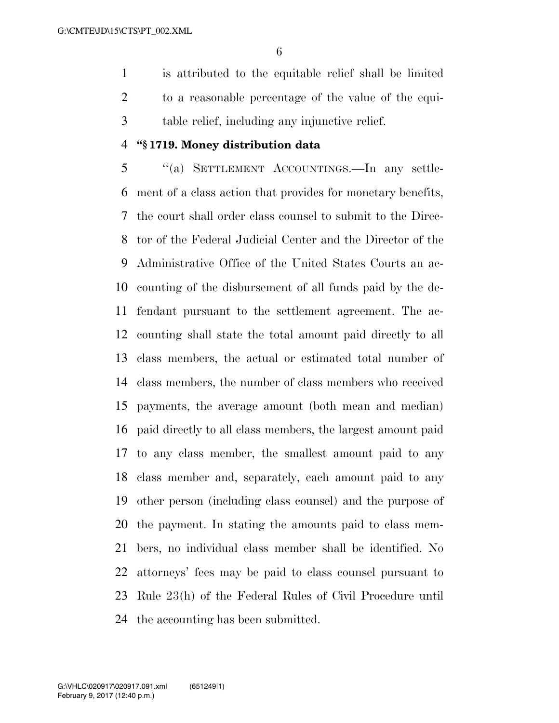is attributed to the equitable relief shall be limited to a reasonable percentage of the value of the equi-table relief, including any injunctive relief.

#### **''§ 1719. Money distribution data**

 ''(a) SETTLEMENT ACCOUNTINGS.—In any settle- ment of a class action that provides for monetary benefits, the court shall order class counsel to submit to the Direc- tor of the Federal Judicial Center and the Director of the Administrative Office of the United States Courts an ac- counting of the disbursement of all funds paid by the de- fendant pursuant to the settlement agreement. The ac- counting shall state the total amount paid directly to all class members, the actual or estimated total number of class members, the number of class members who received payments, the average amount (both mean and median) paid directly to all class members, the largest amount paid to any class member, the smallest amount paid to any class member and, separately, each amount paid to any other person (including class counsel) and the purpose of the payment. In stating the amounts paid to class mem- bers, no individual class member shall be identified. No attorneys' fees may be paid to class counsel pursuant to Rule 23(h) of the Federal Rules of Civil Procedure until the accounting has been submitted.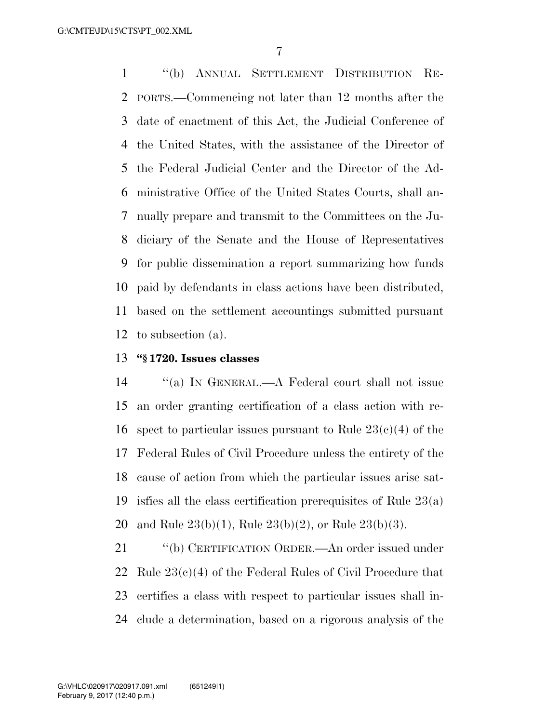''(b) ANNUAL SETTLEMENT DISTRIBUTION RE- PORTS.—Commencing not later than 12 months after the date of enactment of this Act, the Judicial Conference of the United States, with the assistance of the Director of the Federal Judicial Center and the Director of the Ad- ministrative Office of the United States Courts, shall an- nually prepare and transmit to the Committees on the Ju- diciary of the Senate and the House of Representatives for public dissemination a report summarizing how funds paid by defendants in class actions have been distributed, based on the settlement accountings submitted pursuant to subsection (a).

#### **''§ 1720. Issues classes**

 ''(a) IN GENERAL.—A Federal court shall not issue an order granting certification of a class action with re-16 spect to particular issues pursuant to Rule  $23(c)(4)$  of the Federal Rules of Civil Procedure unless the entirety of the cause of action from which the particular issues arise sat- isfies all the class certification prerequisites of Rule 23(a) and Rule 23(b)(1), Rule 23(b)(2), or Rule 23(b)(3).

 ''(b) CERTIFICATION ORDER.—An order issued under 22 Rule  $23(c)(4)$  of the Federal Rules of Civil Procedure that certifies a class with respect to particular issues shall in-clude a determination, based on a rigorous analysis of the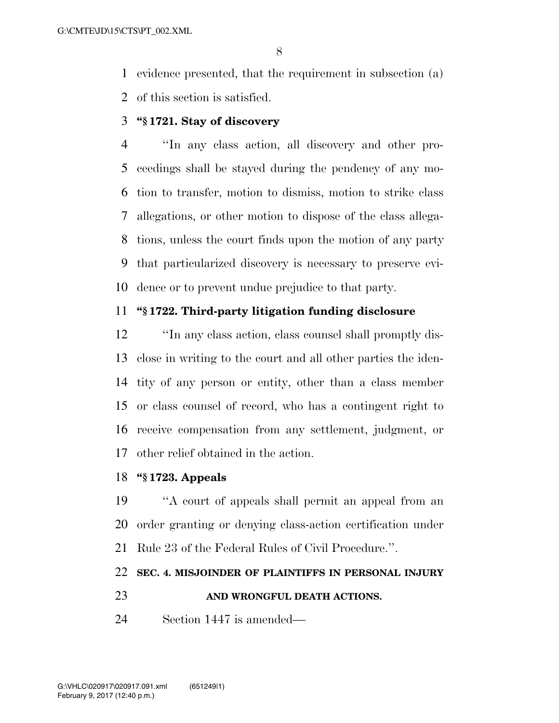evidence presented, that the requirement in subsection (a) of this section is satisfied.

# **''§ 1721. Stay of discovery**

 ''In any class action, all discovery and other pro- ceedings shall be stayed during the pendency of any mo- tion to transfer, motion to dismiss, motion to strike class allegations, or other motion to dispose of the class allega- tions, unless the court finds upon the motion of any party that particularized discovery is necessary to preserve evi-dence or to prevent undue prejudice to that party.

# **''§ 1722. Third-party litigation funding disclosure**

 ''In any class action, class counsel shall promptly dis- close in writing to the court and all other parties the iden- tity of any person or entity, other than a class member or class counsel of record, who has a contingent right to receive compensation from any settlement, judgment, or other relief obtained in the action.

#### **''§ 1723. Appeals**

 ''A court of appeals shall permit an appeal from an order granting or denying class-action certification under Rule 23 of the Federal Rules of Civil Procedure.''.

# **SEC. 4. MISJOINDER OF PLAINTIFFS IN PERSONAL INJURY**

#### **AND WRONGFUL DEATH ACTIONS.**

Section 1447 is amended—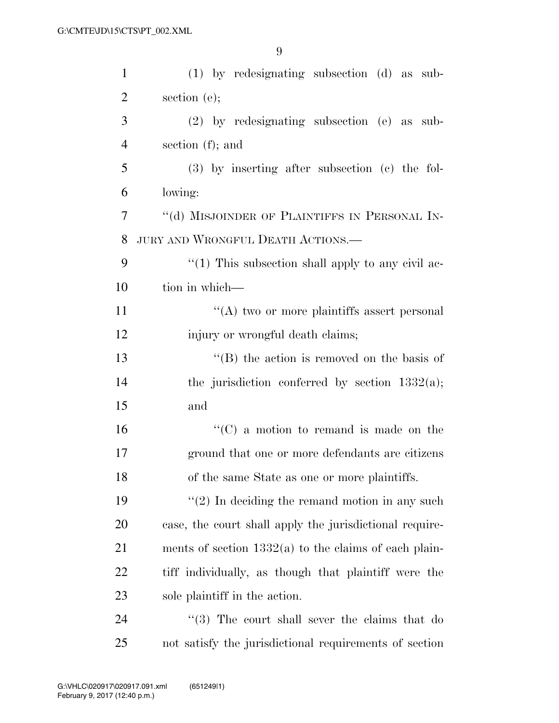| $\mathbf{1}$   | $(1)$ by redesignating subsection $(d)$ as sub-         |  |  |  |
|----------------|---------------------------------------------------------|--|--|--|
| $\overline{2}$ | section $(e)$ ;                                         |  |  |  |
| 3              | $(2)$ by redesignating subsection $(e)$ as sub-         |  |  |  |
| $\overline{4}$ | section $(f)$ ; and                                     |  |  |  |
| 5              | $(3)$ by inserting after subsection $(e)$ the fol-      |  |  |  |
| 6              | lowing:                                                 |  |  |  |
| 7              | "(d) MISJOINDER OF PLAINTIFFS IN PERSONAL IN-           |  |  |  |
| 8              | JURY AND WRONGFUL DEATH ACTIONS.                        |  |  |  |
| 9              | " $(1)$ This subsection shall apply to any civil ac-    |  |  |  |
| 10             | tion in which—                                          |  |  |  |
| 11             | "(A) two or more plaintiffs assert personal             |  |  |  |
| 12             | injury or wrongful death claims;                        |  |  |  |
| 13             | "(B) the action is removed on the basis of              |  |  |  |
| 14             | the jurisdiction conferred by section $1332(a)$ ;       |  |  |  |
| 15             | and                                                     |  |  |  |
| 16             | $\lq\lq$ (C) a motion to remand is made on the          |  |  |  |
| 17             | ground that one or more defendants are citizens         |  |  |  |
| 18             | of the same State as one or more plaintiffs.            |  |  |  |
| 19             | $f'(2)$ In deciding the remand motion in any such       |  |  |  |
| 20             | case, the court shall apply the jurisdictional require- |  |  |  |
| 21             | ments of section $1332(a)$ to the claims of each plain- |  |  |  |
| 22             | tiff individually, as though that plaintiff were the    |  |  |  |
| 23             | sole plaintiff in the action.                           |  |  |  |
| 24             | $(3)$ The court shall sever the claims that do          |  |  |  |
| 25             | not satisfy the jurisdictional requirements of section  |  |  |  |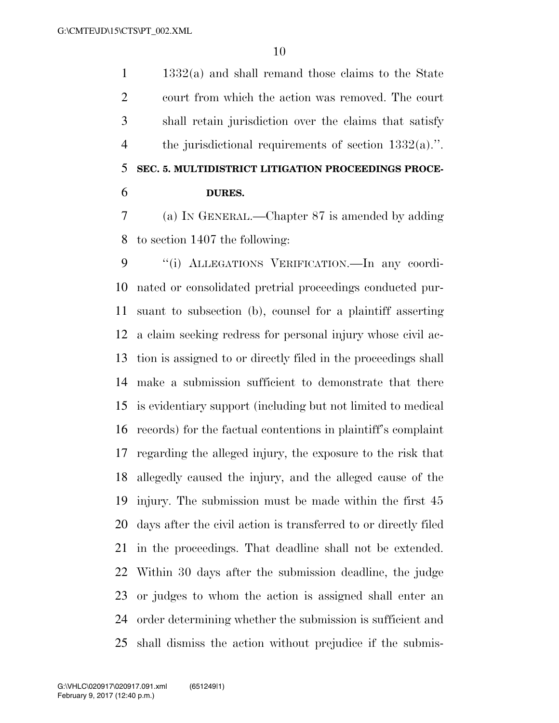1332(a) and shall remand those claims to the State court from which the action was removed. The court shall retain jurisdiction over the claims that satisfy the jurisdictional requirements of section 1332(a).''. **SEC. 5. MULTIDISTRICT LITIGATION PROCEEDINGS PROCE-DURES.** 

 (a) IN GENERAL.—Chapter 87 is amended by adding to section 1407 the following:

 ''(i) ALLEGATIONS VERIFICATION.—In any coordi- nated or consolidated pretrial proceedings conducted pur- suant to subsection (b), counsel for a plaintiff asserting a claim seeking redress for personal injury whose civil ac- tion is assigned to or directly filed in the proceedings shall make a submission sufficient to demonstrate that there is evidentiary support (including but not limited to medical records) for the factual contentions in plaintiff's complaint regarding the alleged injury, the exposure to the risk that allegedly caused the injury, and the alleged cause of the injury. The submission must be made within the first 45 days after the civil action is transferred to or directly filed in the proceedings. That deadline shall not be extended. Within 30 days after the submission deadline, the judge or judges to whom the action is assigned shall enter an order determining whether the submission is sufficient and shall dismiss the action without prejudice if the submis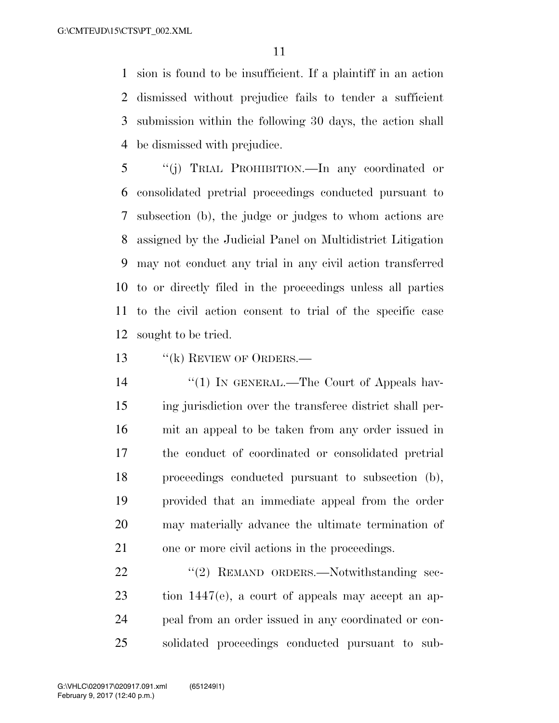sion is found to be insufficient. If a plaintiff in an action dismissed without prejudice fails to tender a sufficient submission within the following 30 days, the action shall be dismissed with prejudice.

 ''(j) TRIAL PROHIBITION.—In any coordinated or consolidated pretrial proceedings conducted pursuant to subsection (b), the judge or judges to whom actions are assigned by the Judicial Panel on Multidistrict Litigation may not conduct any trial in any civil action transferred to or directly filed in the proceedings unless all parties to the civil action consent to trial of the specific case sought to be tried.

13 "(k) REVIEW OF ORDERS.—

14 ''(1) IN GENERAL.—The Court of Appeals hav- ing jurisdiction over the transferee district shall per- mit an appeal to be taken from any order issued in the conduct of coordinated or consolidated pretrial proceedings conducted pursuant to subsection (b), provided that an immediate appeal from the order may materially advance the ultimate termination of one or more civil actions in the proceedings.

22 "(2) REMAND ORDERS.—Notwithstanding sec- tion 1447(e), a court of appeals may accept an ap- peal from an order issued in any coordinated or con-solidated proceedings conducted pursuant to sub